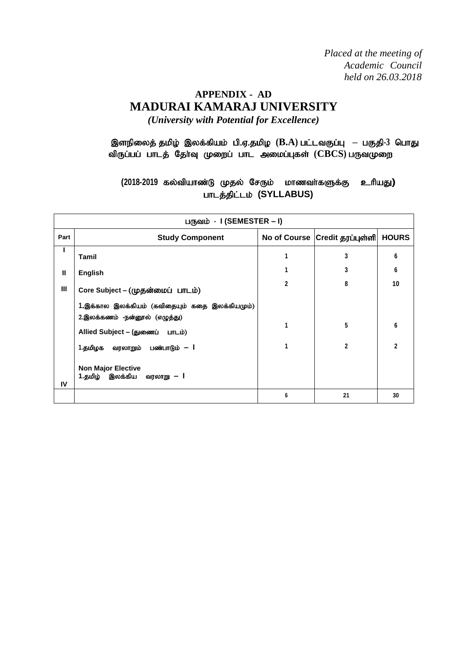*Placed at the meeting of Academic Council held on 26.03.2018*

# **APPENDIX - AD MADURAI KAMARAJ UNIVERSITY** *(University with Potential for Excellence)*

# இளநிலைத் தமிழ் இலக்கியம் பி.ஏ.தமிழ ( $B.A$ ) பட்டவகுப்பு – பகுதி-3 பொது விருப்பப் பாடத் தேர்வு முறைப் பாட அமைப்புகள் (CBCS) பருவமுறை

(2018-2019 கல்வியாண்டு முதல் சேரும் மாணவர்களுக்கு உரியது**)** பாடத்திட்டம் (SYLLABUS)

|      | பருவம் - I (SEMESTER – I)                                        |                                |              |                |  |  |  |  |  |
|------|------------------------------------------------------------------|--------------------------------|--------------|----------------|--|--|--|--|--|
| Part | <b>Study Component</b>                                           | No of Course Credit தரப்புள்ளி | <b>HOURS</b> |                |  |  |  |  |  |
|      | Tamil                                                            |                                | 3            | 6              |  |  |  |  |  |
| Ш    | <b>English</b>                                                   |                                | 3            | 6              |  |  |  |  |  |
| Ш    | Core Subject - (முதன்மைப் பாடம்)                                 | 2                              | 8            | 10             |  |  |  |  |  |
|      | 1.இக்கால இலக்கியம் (கவிதையும் கதை இலக்கியமும்)                   |                                |              |                |  |  |  |  |  |
|      | 2.இலக்கணம் -நன்னூல் (எழுத்து)<br>Allied Subject - (துணைப் பாடம்) |                                | 5            | 6              |  |  |  |  |  |
|      | 1.தமிழக<br>வரலாறும் பண்பாடும் <b>– l</b>                         |                                | $\mathbf{2}$ | $\mathfrak{p}$ |  |  |  |  |  |
| IV   | <b>Non Major Elective</b><br>1.தமிழ் இலக்கிய<br>வரலாறு — I       |                                |              |                |  |  |  |  |  |
|      |                                                                  | 6                              | 21           | 30             |  |  |  |  |  |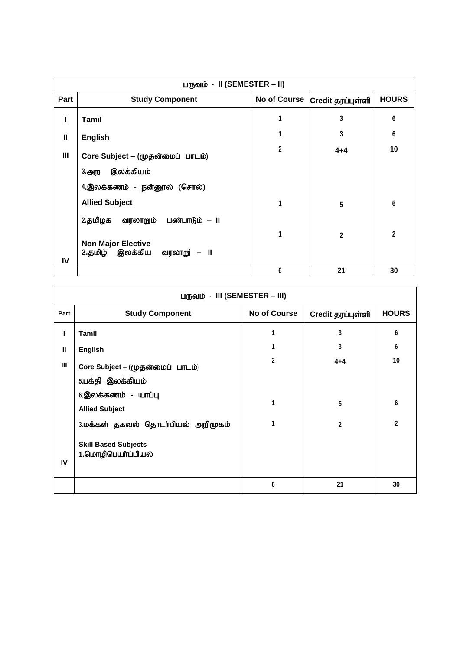| பருவம் - II (SEMESTER – II) |                                                              |              |                                |              |  |  |  |
|-----------------------------|--------------------------------------------------------------|--------------|--------------------------------|--------------|--|--|--|
| <b>Part</b>                 | <b>Study Component</b>                                       |              | No of Course Credit தரப்புள்ளி | <b>HOURS</b> |  |  |  |
| L                           | Tamil                                                        |              | 3                              | 6            |  |  |  |
| Ш                           | <b>English</b>                                               |              | 3                              | 6            |  |  |  |
| III                         | Core Subject - (முதன்மைப் பாடம்)                             | $\mathbf{2}$ | $4 + 4$                        | 10           |  |  |  |
|                             | இலக்கியம்<br>3.அற                                            |              |                                |              |  |  |  |
|                             | 4.இலக்கணம் - நன்னூல் (சொல்)                                  |              |                                |              |  |  |  |
|                             | <b>Allied Subject</b>                                        | 1            | 5                              | 6            |  |  |  |
|                             | 2.தமிழக<br>வரலாறும்<br>பண்பாடும் – II                        |              |                                |              |  |  |  |
| IV                          | <b>Non Major Elective</b><br>2.தமிழ் இலக்கிய<br>வரலாறு் – II |              | $\mathbf{2}$                   | $\mathbf{2}$ |  |  |  |
|                             |                                                              | 6            | 21                             | 30           |  |  |  |

| பருவம் - III (SEMESTER – III) |                                                   |              |                   |                |  |  |  |  |
|-------------------------------|---------------------------------------------------|--------------|-------------------|----------------|--|--|--|--|
| Part                          | <b>Study Component</b>                            | No of Course | Credit தரப்புள்ளி | <b>HOURS</b>   |  |  |  |  |
|                               | <b>Tamil</b>                                      | 1            | 3                 | 6              |  |  |  |  |
| $\mathbf{I}$                  | <b>English</b>                                    | 1            | 3                 | 6              |  |  |  |  |
| $\mathbf{III}$                | Core Subject - (முதன்மைப் பாடம்)                  | $\mathbf{2}$ | $4 + 4$           | 10             |  |  |  |  |
|                               | 5.பக்தி இலக்கியம்                                 |              |                   |                |  |  |  |  |
|                               | 6.இலக்கணம் - யாப்பு<br><b>Allied Subject</b>      | 1            | 5                 | 6              |  |  |  |  |
|                               | 3.மக்கள் தகவல் தொடா்பியல் அறிமுகம்                | 1            | $\overline{2}$    | $\overline{2}$ |  |  |  |  |
| IV                            | <b>Skill Based Subjects</b><br>1.மொழிபெயா்ப்பியல் |              |                   |                |  |  |  |  |
|                               |                                                   | 6            | 21                | 30             |  |  |  |  |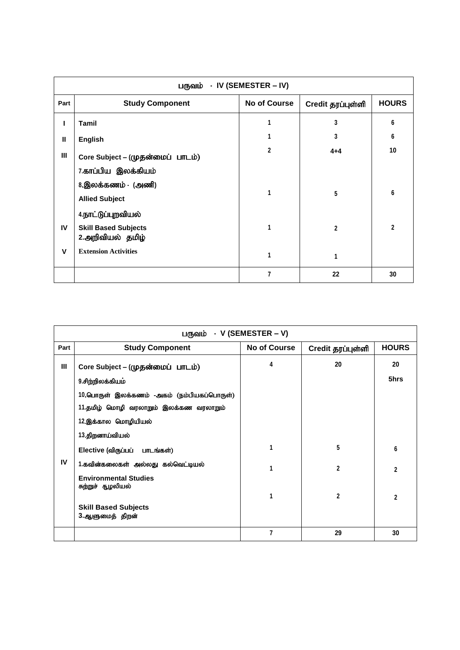| பருவம் - IV (SEMESTER – IV) |                                                 |                     |                   |              |  |  |  |  |
|-----------------------------|-------------------------------------------------|---------------------|-------------------|--------------|--|--|--|--|
| Part                        | <b>Study Component</b>                          | <b>No of Course</b> | Credit தரப்புள்ளி | <b>HOURS</b> |  |  |  |  |
|                             | Tamil                                           |                     | 3                 | 6            |  |  |  |  |
| $\mathbf{I}$                | <b>English</b>                                  |                     | 3                 | 6            |  |  |  |  |
| $\mathbf{III}$              | Core Subject - (முதன்மைப் பாடம்)                | $\mathbf 2$         | $4 + 4$           | 10           |  |  |  |  |
|                             | 7.காப்பிய இலக்கியம்                             |                     |                   |              |  |  |  |  |
|                             | 8.இலக்கணம் - (அணி)                              | 1                   |                   | 6            |  |  |  |  |
|                             | <b>Allied Subject</b>                           |                     | 5                 |              |  |  |  |  |
|                             | 4.நாட்டுப்புறவியல்                              |                     |                   |              |  |  |  |  |
| IV                          | <b>Skill Based Subjects</b><br>2.அறிவியல் தமிழ் | 1                   | $\overline{2}$    | $\mathbf{2}$ |  |  |  |  |
| $\mathbf v$                 | <b>Extension Activities</b>                     | 1                   | 1                 |              |  |  |  |  |
|                             |                                                 | 7                   | 22                | 30           |  |  |  |  |

| பருவம் - V (SEMESTER – V) |                                                   |                     |                   |                |  |  |  |
|---------------------------|---------------------------------------------------|---------------------|-------------------|----------------|--|--|--|
| Part                      | <b>Study Component</b>                            | <b>No of Course</b> | Credit தரப்புள்ளி | <b>HOURS</b>   |  |  |  |
| Ш                         | Core Subject – (முதன்மைப் பாடம்)                  | 4                   | 20                | 20             |  |  |  |
|                           | 9.சிற்றிலக்கியம்                                  |                     |                   | 5hrs           |  |  |  |
|                           | 10.பொருள் இலக்கணம் -அகம் (நம்பியகப்பொருள்)        |                     |                   |                |  |  |  |
|                           | 11.தமிழ் மொழி வரலாறும் இலக்கண வரலாறும்            |                     |                   |                |  |  |  |
|                           | 12.இக்கால மொழியியல்                               |                     |                   |                |  |  |  |
|                           | 13.திறனாய்வியல்                                   |                     |                   |                |  |  |  |
|                           | Elective (விருப்பப் பாடங்கள்)                     | 1                   | 5                 | 6              |  |  |  |
| IV                        | 1.கவின்கலைகள் அல்லது கல்வெட்டியல்                 | 1                   | $\mathbf{2}$      | $\overline{2}$ |  |  |  |
|                           | <b>Environmental Studies</b><br>சுற்றுச் சூழலியல் |                     |                   |                |  |  |  |
|                           |                                                   | 1                   | $\mathbf 2$       | $\mathbf{2}$   |  |  |  |
|                           | <b>Skill Based Subjects</b>                       |                     |                   |                |  |  |  |
|                           | 3.ஆளுமைத் திறன்                                   |                     |                   |                |  |  |  |
|                           |                                                   | $\overline{7}$      | 29                | 30             |  |  |  |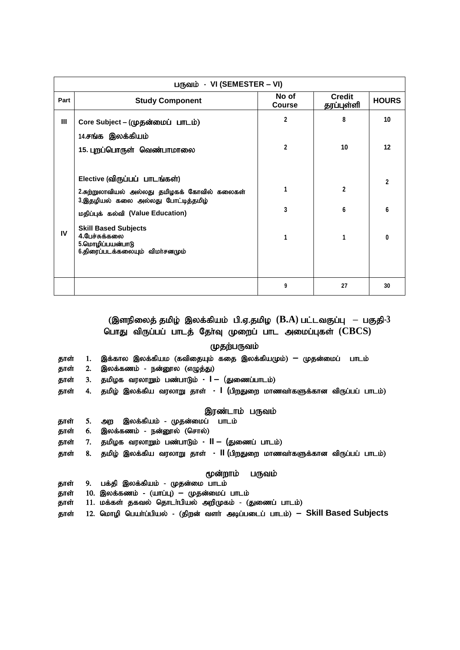|      | பருவம் - VI (SEMESTER – VI)                                                                        |                        |                             |                |  |  |  |  |
|------|----------------------------------------------------------------------------------------------------|------------------------|-----------------------------|----------------|--|--|--|--|
| Part | <b>Study Component</b>                                                                             | No of<br><b>Course</b> | <b>Credit</b><br>தரப்புள்ளி | <b>HOURS</b>   |  |  |  |  |
| III  | Core Subject – (முதன்மைப் பாடம்)                                                                   | $\overline{2}$         | 8                           | 10             |  |  |  |  |
|      | 14.சங்க இலக்கியம்                                                                                  |                        |                             |                |  |  |  |  |
|      | 15. புறப்பொருள் வெண்பாமாலை                                                                         | $\mathbf{2}$           | 10                          | 12             |  |  |  |  |
|      |                                                                                                    |                        |                             |                |  |  |  |  |
|      | Elective (விருப்பப் பாடங்கள்)                                                                      |                        |                             | $\overline{2}$ |  |  |  |  |
|      | 2.சுற்றுலாவியல் அல்லது தமிழகக் கோவில் கலைகள்<br>3.இதழியல் கலை அல்லது போட்டித்தமிழ்                 | 1                      | $\mathbf{2}$                |                |  |  |  |  |
|      | மதிப்புக் கல்வி (Value Education)                                                                  | 3                      | 6                           | 6              |  |  |  |  |
| IV   | <b>Skill Based Subjects</b><br>4.பேச்சுக்கலை<br>5.மொழிப்பயன்பாடு<br>6.திரைப்படக்கலையும் விமாசனமும் | 1                      | 1                           | $\bf{0}$       |  |  |  |  |
|      |                                                                                                    |                        |                             |                |  |  |  |  |
|      |                                                                                                    | 9                      | 27                          | 30             |  |  |  |  |

## (இளநிலைத் தமிழ் இலக்கியம் பி.ஏ.தமிழ (B.A) பட்டவகுப்பு – பகுதி-3 பொது விருப்பப் பாடத் தேர்வு முறைப் பாட அமைப்புகள் (CBCS)

## முதற்பருவம்

- தாள் 1. இக்கால இலக்கியம (கவிதையும் கதை இலக்கியமும்) <del>–</del> முதன்மைப் பாடம்
- தாள் 2. இலக்கணம் நன்னூல (எழுத்து)
- தாள் 3. தமிழக வரலாறும் பண்பாடும் **I –** (துணைப்பாடம்)
- தாள் 4. தமிழ் இலக்கிய வரலாறு தாள்  **| (**பிறதுறை மாணவர்களுக்கான விருப்பப் பாடம்)

#### இரண்டாம் பருவம்

- தாள் 5. அற இலக்கியம் முதன்மைப் பாடம்
- தாள் 6. இலக்கணம் நன்னூல் (சொல்)
- தாள் 7. தமிழக வரலாறும் பண்பாடும் **II (**துணைப் பாடம்)
- தாள் 8. தமிழ் இலக்கிய வரலாறு தாள் **II (**பிறதுறை மாணவா்களுக்கான விருப்பப் பாடம்)

## மூன்றாம் பருவம்

- தாள் 9. பக்தி இலக்கியம் முதன்மை பாடம்
- தாள் 10. இலக்கணம் (யாப்பு) **–** முதன்மைப் பாடம்
- தாள் 11. மக்கள் தகவல் தொடா்பியல் அறிமுகம் (துணைப் பாடம்)
- தாள் 12. மொழி பெயர்ப்பியல் (திறன் வளர் அடிப்படைப் பாடம்) Skill Based Subjects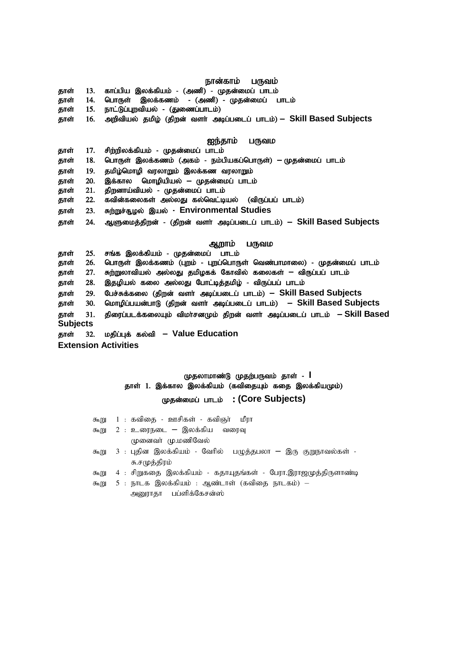## நான்காம் பருவம்

தாள் 13. காப்பிய இலக்கியம் - (அணி) - முதன்மைப் பாடம்

- .<br>தாள் 14. பொருள் இலக்கணம் (அணி) முதன்மைப் பாடம்
- தாள் 15. நாட்டுப்புறவியல் (துணைப்பாடம்)
- தாள் 16. அறிவியல் தமிழ் (திறன் வளர் அடிப்படைப் பாடம்)  **Skill Based Subjects**

#### **ஐந்தாம் பருவம**

- தாள் 17. சிற்றிலக்கியம் முதன்மைப் பாடம்
- தாள் 18. பொருள் இலக்கணம் (அகம் நம்பியகப்பொருள்) <del>–</del> முதன்மைப் பாடம்
- தாள் 19. தமிழ்மொழி வரலாறும் இலக்கண வரலாறும்
- தாள் 20. இக்கால மொழியியல் <del>–</del> முதன்மைப் பாடம்
- தாள் 21. திறனாய்வியல் முதன்மைப் பாடம்
- தாள் 22. கவின்கலைகள் அல்லது கல்வெட்டியல் (விருப்பப் பாடம்)
- தாள் 23. சுற்றுச்சூழல் இயல் Environmental Studies
- தாள் 24. ஆளுமைத்திறன் (திறன் வளர் அடிப்படைப் பாடம்)  **Skill Based Subjects**

#### ஆறாம் பருவம

தாள் 25. சங்க இலக்கியம் - முதன்மைப் பாடம் தாள் 26. பொருள் இலக்கணம் (புறம் - புறப்பொருள் வெண்பாமாலை) - முதன்மைப் பாடம் தாள் 27. சுற்றுலாவியல் அல்லது தமிழகக் கோவில் கலைகள் <del>–</del> விருப்பப் பாடம் தாள் 28. இதழியல் கலை அல்லது போட்டித்தமிழ் - விருப்பப் பாடம் தாள் 29. பேச்சுக்கலை (திறன் வளர் அடிப்படைப் பாடம்) - Skill Based Subjects தாள் 30. மொழிப்பயன்பாடு (திறன் வளர் அடிப்படைப் பாடம்) – Skill Based Subjects jhs; 31. jpiug;glf;fiyAk; tpkh ;rdKk; jpwd; tsh; mbg ;gilg; ghlk; **– Skill Based Subjects** தாள் 32. மதிப்புக் கல்வி – Value Education

**Extension Activities**

# (முதலாமாண்டு முதற்பருவம் தாள் - **I** தாள் 1. இக்கால இலக்கியம் (கவிதையும் கதை இலக்கியமும்)

## Kjd;ikg; ghlk; : **(Core Subjects)**

|      | கூறு 1 : கவிதை - ஊசிகள் - கவிஞா் மீரா                                    |
|------|--------------------------------------------------------------------------|
| கூறு | 2 : உரைநடை – இலக்கிய வரைவு                                               |
|      | முனைவா் மு.மணிவேல்                                                       |
|      | கூறு   3  : புதின இலக்கியம்  - வேரில்   பழுத்தபலா  — இரு குறுநாவல்கள்  - |
|      | சு.சமுத்திரம்                                                            |
|      | கூறு  4 :  சிறுகதை  இலக்கியம் -  கதாயுதங்கள் -  பேரா.இராஜமுத்திருளாண்டி  |
| கூறு | ் 5 : நாடக இலக்கியம் : ஆண்டாள் (கவிதை நாடகம்) —                          |
|      | அனுராதா பப்ளிக்கேசன்ஸ்                                                   |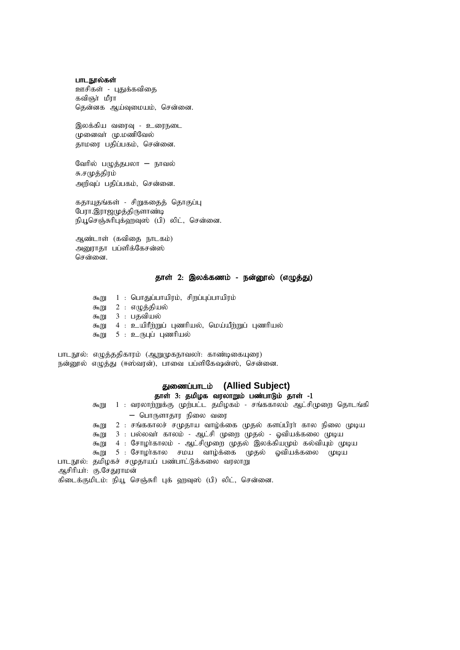#### பாடநூல்கள்

ஊசிகள் - பதுக்கவிகை கவிஞா் மீரா தென்னக ஆய்வுமையம், சென்னை.

இலக்கிய வரைவு - உரைநடை (மனைவர் மு.மணிவேல் ்தாமரை பதிப்பகம், சென்னை.

வேரில் பழுத்தபலா – நாவல் சு.சமுத்திரம் அறிவுப் பதிப்பகம், சென்னை.

கதாயுதங்கள் - சிறுகதைத் தொகுப்பு பேரா.இராஜமுத்திருளாண்டி நியூசெஞ்சுரிபுக்ஹவுஸ் (பி) லிட், சென்னை.

அண்டாள் (கவிகை நாடகம்) அனூராதா பப்ளிக்கேசன்ஸ் சென்னை.

## தாள் 2: இலக்கணம் - நன்னூல் (எழுத்து)

 $50 - 1$  : பொதுப்பாயிரம், சிறப்புப்பாயிரம் கூறு  $2 : \pi$ ழுத்தியல் கூறு 3 : பதவியல் கூறு 4 : உயிரீற்றுப் புணரியல், மெய்யீற்றுப் புணரியல் கூறு 5 : உருபுப் புணரியல்

பாடநூல்: எழுத்ததிகாரம் (ஆறுமுகநாவலா்: காண்டிகையுரை) நன்னூல் எழுத்து (ஈஸ்வரன்), பாவை பப்ளிகேஷன்ஸ், சென்னை.

# துணைப்பாடம் (Allied Subject)

## தாள் 3: தமிழக வரலாறும் பண்பாடும் தாள் -1

கூறு 1 : வரலாற்றுக்கு முற்பட்ட தமிழகம் - சங்ககாலம் ஆட்சிமுறை தொடங்கி – பொருளாதார நிலை வரை  $\delta$ குறு 2 : சங்ககாலச் சமுதாய வாழ்க்கை முதல் களப்பிரா் கால நிலை முடிய கூறு 3 : பல்லவா் காலம் - ஆட்சி முறை முதல் - ஓவியக்கலை முடிய கூறு 4 : சோழாகாலம் - ஆட்சிமுறை முதல் இலக்கியமும் கல்வியும் முடிய கூறு 5 : சோழா்கால சமய வாழ்க்கை முதல் ஓவியக்கலை முடிய பாடநூல்: தமிழகச் சமுதாயப் பண்பாட்டுக்கலை வரலாறு அசிரியா்: கு.சேதுராமன்

கிடைக்குமிடம்: நியூ செஞ்சுரி புக் ஹவுஸ் (பி) லிட், சென்னை.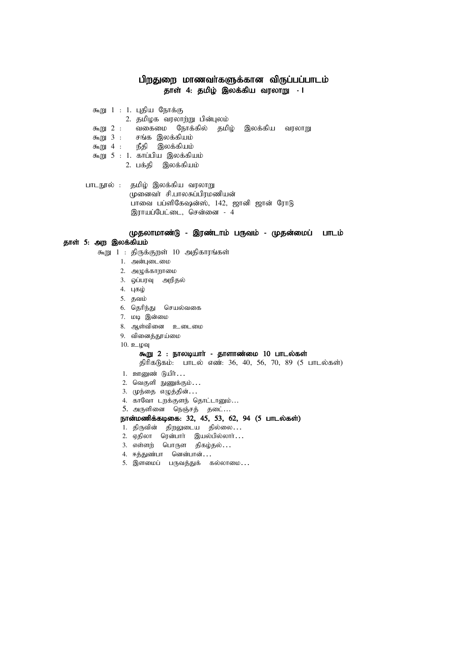## பிறதுறை மாணவா்களுக்கான விருப்பப்பாடம் தாள் 4: தமிழ் இலக்கிய வரலாறு **- I**

- கூறு  $1$  : 1. புதிய நோக்கு
	- 2. தமிழக வரலாற்று பின்புலம்
- கூறு 2 : வகைமை நோக்கில் தமிழ் இலக்கிய வரலாறு
- $f_{\text{m}}$ று  $3$  : சங்க இலக்கியம்
- கூறு 4 : நீதி இலக்கியம்
- கூறு  $5$  :  $1$ . காப்பிய இலக்கியம்
	- 2. பக்கி இலக்கியம்
- பாடநூல் : தமிழ் இலக்கிய வரலாறு முனைவர் சி.பாலசுப்பிரமணியன் ்<br>பாவை பப்ளிகேஷன்ஸ், 142, ஜானி ஜான் ரோடு ிராயப்பேட்டை, சென்னை - 4

## (முதலாமாண்டு - இரண்டாம் பருவம் - முதன்மைப் பாடம்

## தாள் 5: அற இலக்கியம்

- கூறு 1 : திருக்குறள் 10 அதிகாரங்கள்
	- 1. அன்புடைமை
	- $2.$  அமுக்காறாமை
	- 3. ஒப்பரவு அறிதல்
	- 4. புகழ்
	- 5. தவம்
	- 6. தெரிந்து செயல்வகை
	- 7. மடி இன்மை
	- 8. ஆள்வினை உடைமை
	- 9. வினைத்தூய்மை
	- $10.$  உழவு

#### கூறு  $2$  : நாலடியார் - தாளாண்மை  $10$  பாடல்கள்

- திரிகடுகம்: பாடல் எண்: 36, 40, 56, 70, 89 (5 பாடல்கள்)
- 1. ஊனுண் டுயிர்...
- $2.$  வெகுளி நுணுக்கும் $\ldots$
- 3. முந்தை எழுத்தின்...
- 4. காவோ டறக்குளந் தொட்டானும்...
- 5. அருளினை நெஞ்சத் தடை...

## நான்மணிக்கடிகை: 32, 45, 53, 62, 94 (5 பாடல்கள்)

- 1. திருவின் திறலுடைய தில்லை...
- 2. ஏதிலா ரென்பார் இயல்பில்லார்...
- 3. எள்ளற் பொருள திகழ்தல்...
- 4. ஈத்துண்பா னென்பான்...
- 5. இளமைப் பருவத்துக் கல்லாமை...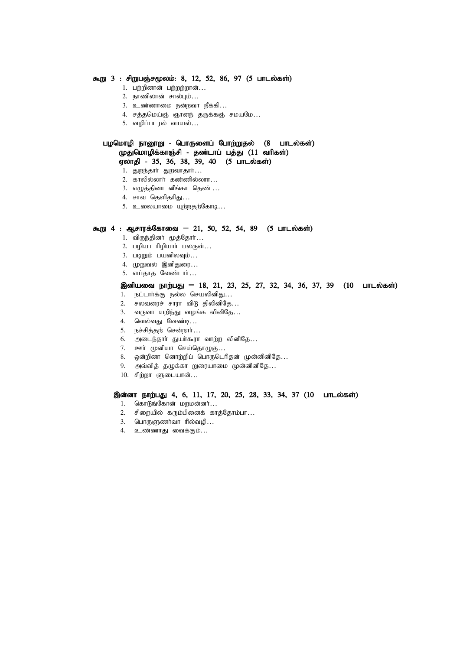#### கூறு 3 : சிறுபஞ்சமூலம்: 8, 12, 52, 86, 97 (5 பாடல்கள்)

- $1.$  பற்றினான் பற்றற்றான்...
- 2. நாணிலான் சால்பும்...
- 3. உண்ணாமை நன்றவா நீக்கி...
- 4. சத்தமெய்ஞ் ஞானந் தருக்கஞ் சமயமே...
- $5.$  வழிப்படரல் வாயல்...

#### பழமொழி நானூறு - பொருளைப் போற்றுதல் (8 பாடல்கள்) முதுமொழிக்காஞ்சி - தண்டாப் பத்து (11 வரிகள்) ஏலாதி - 35, 36, 38, 39, 40 (5 பாடல்கள்)

- 1. துறந்தார் துறவாதார்…
- $2.$  காலில்லாா் கண்ணில்லாா…
- 3. எழுத்தினா வீங்கா தெண் …
- 4. சாவ கெளிகரிது…
- 5. உலையாமை யுற்றதற்கோடி...

#### கூறு 4 : ஆசாரக்கோவை – 21, 50, 52, 54, 89 (5 பாடல்கள்)

- 1. விருந்தினா் மூத்தோா்...
- $2.$  பழியா ரிழியார் பலருள்...
- $3.$  படிறும் பயனிலவும்...
- 4. முறுவல் இனிதுரை...
- 5. எய்காக வேண்டார்...

#### இனியவை நாற்பது – 18, 21, 23, 25, 27, 32, 34, 36, 37, 39 (10 பாடல்கள்)

- 1. நட்டார்க்கு நல்ல செயலினிது…
- $2.$  சலவரைச் சாரா விடு திலினிதே...
- 3. வருவா யறிந்து வழங்க லினிதே…
- 4. வெல்வது வேண்டி...
- 5. நச்சித்தற் சென்றார்...
- 6. அடைந்தாா் துயா்கூரா வாற்ற லினிதே...
- 7. ஊர் முனியா செய்தொழுகு...
- 8. ஒன்றினா னொற்றிப் பொருடெரிதன் முன்னினிதே...
- 9. அவ்வித் தழுக்கா நுரையாமை முன்னினிதே...
- 10. சிற்றா ளுடையான்...

#### இன்னா நாற்பது 4, 6, 11, 17, 20, 25, 28, 33, 34, 37 (10 பாடல்கள்)

- 1. கொடுங்கோன் மறமன்னர்…
- 2. சிறையில் கரும்பினைக் காத்தோம்பா...
- 3.  $\Box$ பாருளுணர்வா ரில்வழி...
- 4. உண்ணாது வைக்கும்...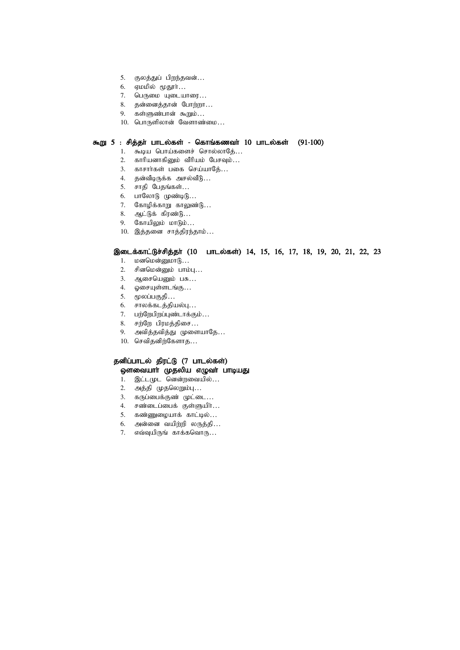- 5. குலத்துப் பிறந்தவன்...
- 6. ஏமமில் மூதூா்...
- 7. பெருமை யுடையாரை…
- 8. தன்னைத்தான் போற்றா…
- 9. கள்ளுண்பான் கூறும்...
- $10.$  பொருளிலான் வேளாண்மை...

## $\bar{x}$ று 5 : சித்தா் பாடல்கள் - கொங்கணவா் 10 பாடல்கள் (91-100)

- 1. கூடிய பொய்களைச் சொல்லாதே...
- $2.$  காரியனாகினும் வீரியம் பேசவும் $\ldots$
- 3. காசார்கள் பகை செய்யாதே...
- 4. தன்வீடிருக்க அசல்வீடு…
- 5. சாதி பேதங்கள்...
- $6.$  பாலோடு முண்டிடு...
- 7. கோழிக்காறு காலுண்டு…
- 8. ஆட்டுக் கிரண்டு...
- $9.$  கோயிலும் மாடும்...
- 10. இத்தனை சாத்திரந்தாம்...

#### இடைக்காட்டுச்சித்தா் (10 பாடல்கள்) 14, 15, 16, 17, 18, 19, 20, 21, 22, 23

- $1.$  மனமென்னுமா $6...$
- $2.$  சினமென்னும் பாம்பு $\ldots$
- 3. ஆசையெனும் பசு...
- $4.$  ஓசையுள்ளடங்கு $\ldots$
- 5. மூலப்பகுதி...
- $6.$  சாலக்கடத்தியல்பு...
- 7. பற்றேபிறப்புண்டாக்கும்...
- 8. சற்றே பிரமத்திசை...
- 9. அவித்தவித்து முளையாதே...
- $10.$  செவிதனிற்கேளாத $\ldots$

#### தனிப்பாடல் திரட்டு (7 பாடல்கள்) ஒளவையாா் முதலிய எழுவா் பாடியது

- 1. இட்டமுட னென்றவையில்...
- 2. அத்தி முதலெறும்பு...
- 3. கருப்பைக்குண் முட்டை...
- 4. சண்டைப்பைக் குள்ளுயிர்...
- 5. கண்ணுழையாக் காட்டில்...
- $6.$  அன்னை வயிற்றி லருத்தி...
- 7. எவ்வுயிருங் காக்கவொரு…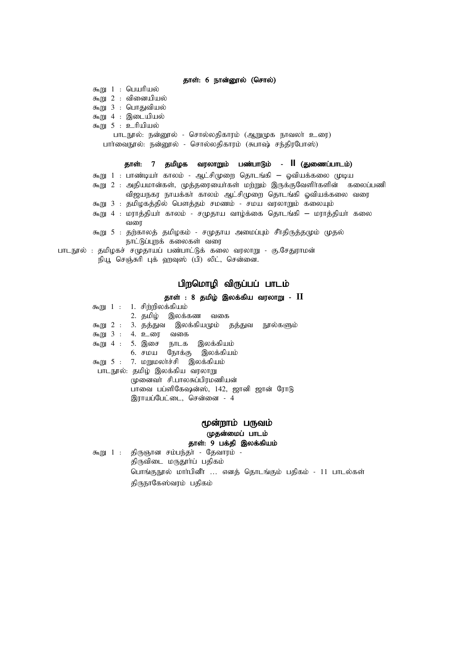#### தாள்: 6 நான்னூல் (சொல்)

- $50 1$  : பெயரியல் கூறு  $2$  : வினையியல்
- கூறு  $3$  : பொதுவியல்
- கூறு  $4$  : இடையியல்
- $F_{\text{m}}$  5 : உரியியல்
- - பாடநூல்: நன்னூல் சொல்லதிகாரம் (ஆறுமுக நாவலர் உரை) பார்வைநூல்: நன்னூல் - சொல்லதிகாரம் (சுபாஷ் சந்திரபோஸ்)

#### தாள்: 7 தமிழக வரலாறும் பண்பாடும் - **II** (துணைப்பாடம்)

- கூறு 1 : பாண்டியா் காலம் ஆட்சிமுறை தொடங்கி ஓவியக்கலை முடிய
- கூறு 2 : அதியமான்கள், முத்தரையைர்கள் மற்றும் இருக்குவேளிர்களின் கலைப்பணி .<br>விஜயநகர நாயக்கா் காலம் ஆட்சிமுறை தொடங்கி ஒவியக்கலை வரை
- கூறு 3 : தமிழகத்தில் பௌத்தம் சமணம் சமய வரலாறும் கலையும்
- $\epsilon_{\rm m}$  4 : மராத்தியா் காலம் சமுதாய வாழ்க்கை தொடங்கி மராத்தியா் கலை வரை
- கூறு 5 : தற்காலத் தமிழகம் சமுதாய அமைப்பும் சீாதிருத்தமும் முதல் நாட்டுப்புறக் கலைகள் வரை
- பாடநூல் : தமிழகச் சமுதாயப் பண்பாட்டுக் கலை வரலாறு கு.சேதுராமன் நியூ செஞ்சுரி புக் ஹவுஸ் (பி) லிட், சென்னை.

## பிறமொழி விருப்பப் பாடம்

#### தாள் : 8 தமிழ் இலக்கிய வரலாறு -  $\,$ **I**

|  | கூறு 1 : 1. சிற்றிலக்கியம்                      |  |
|--|-------------------------------------------------|--|
|  | 2. தமிழ் இலக்கண வகை                             |  |
|  | கூறு 2 : 3. தத்துவ இலக்கியமும் தத்துவ நூல்களும் |  |
|  | கூறு 3 : 4. உரை வகை                             |  |
|  | கூறு 4 : 5. இசை நாடக இலக்கியம்                  |  |
|  | 6. சமய நோக்கு இலக்கியம்                         |  |
|  | கூறு 5 : 7. மறுமலர்ச்சி இலக்கியம்               |  |
|  | பாடநூல்: தமிழ் இலக்கிய வரலாறு                   |  |
|  | முனைவர் சி.பாலசுப்பிரமணியன்                     |  |
|  | பாவை பப்ளிகேஷன்ஸ், 142, ஜானி ஜான் ரோடு          |  |
|  | இராயப்பேட்டை, சென்னை - 4                        |  |

## மூன்றாம் பருவம் (முதன்மைப் பாடம் தாள்: 9 பக்தி இலக்கியம்

 $\delta$ று 1 : திருஞான சம்பந்தா் - தேவாரம் -திருவிடை மருதூா்ப் பதிகம் பொங்குநூல் மாா்பினீா … எனத் தொடங்கும் பதிகம் - 11 பாடல்கள் திருநாகேஸ்வரம் பதிகம்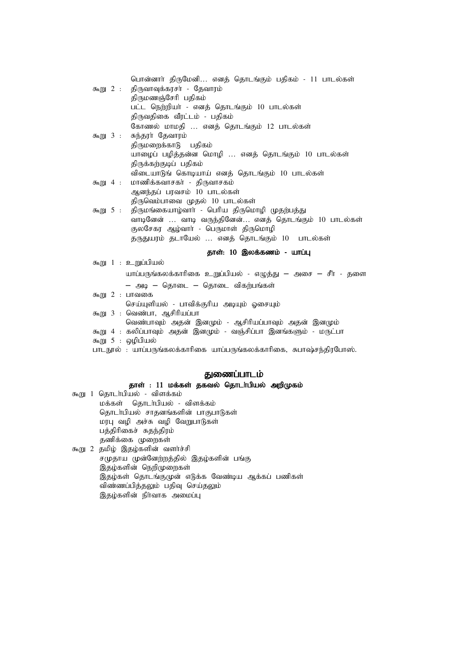|          |  | பொன்னார் திருமேனி எனத் தொடங்கும் பதிகம் - 11 பாடல்கள்                |
|----------|--|----------------------------------------------------------------------|
| கூறு 2 : |  | திருவாவுக்கரசர் - தேவாரம்                                            |
|          |  | திருமணஞ்சேரி பதிகம்                                                  |
|          |  | பட்ட நெற்றியா் - எனத் தொடங்கும் 10 பாடல்கள்                          |
|          |  | திருவதிகை வீரட்டம் - பதிகம்                                          |
|          |  | கோணல் மாமதி  எனத் தொடங்கும் 12 பாடல்கள்                              |
| கூறு 3 : |  | சுந்தரா் தேவாரம்                                                     |
|          |  | திருமறைக்காடு பதிகம்                                                 |
|          |  | யாழைப் பழித்தன்ன மொழி  எனத் தொடங்கும் 10 பாடல்கள்                    |
|          |  | திருக்கற்குடிப் பதிகம்                                               |
|          |  | விடையாடுங் கொடியாய் எனத் தொடங்கும் 10 பாடல்கள்                       |
| கூறு 4 : |  | மாணிக்கவாசகர் - திருவாசகம்                                           |
|          |  | ஆனந்தப் பரவசம் 10 பாடல்கள்                                           |
|          |  | திருவெம்பாவை முதல் 10 பாடல்கள்                                       |
| கூறு 5 : |  | திருமங்கையாழ்வாா் - பெரிய திருமொழி முதற்பத்து                        |
|          |  | வாடினேன்  வாடி வருந்தினேன் எனத் தொடங்கும் 10 பாடல்கள்                |
|          |  | குலசேகர ஆழ்வார் - பெருமாள் திருமொழி                                  |
|          |  | தருதுயரம் தடாயேல்  எனத் தொடங்கும் 10 பாடல்கள்                        |
|          |  | தாள்: 10 இலக்கணம் - யாப்பு                                           |
|          |  | கூறு 1 : உறுப்பியல்                                                  |
|          |  | யாப்பருங்கலக்காரிகை உறுப்பியல் - எழுத்து — அசை — சீா் - தளை          |
|          |  | — அடி — தொடை — தொடை விகற்பங்கள்                                      |
|          |  | கூறு 2 : பாவகை                                                       |
|          |  | செய்யுளியல் - பாவிக்குரிய அடியும் ஓசையும்                            |
|          |  | கூறு 3 : வெண்பா, ஆசிரியப்பா                                          |
|          |  | வெண்பாவும் அதன் இனமும் - ஆசிரியப்பாவும் அதன் இனமும்                  |
|          |  | கூறு 4 : கலிப்பாவும் அதன் இனமும் - வஞ்சிப்பா இனங்களும் - மருட்பா     |
|          |  | கூறு 5 : ஒழிபியல்                                                    |
|          |  | பாடநூல் : யாப்பருங்கலக்காரிகை யாப்பருங்கலக்காரிகை, சுபாஷ்சந்திரபோஸ். |

## துணைப்பாடம்

## தாள் : 11 மக்கள் தகவல் தொடா்பியல் அறிமுகம்

கூறு 1 தொடா்பியல் - விளக்கம் மக்கள் தொடா்பியல் - விளக்கம் தொடா்பியல் சாதனங்களின் பாகுபாடுகள் மரபு வழி அச்சு வழி வேறுபாடுகள் பத்திரிகைச் சுதந்திரம் தணிக்கை முறைகள் கூறு 2 தமிழ் இதழ்களின் வளர்ச்சி .<br>சமுதாய முன்னேற்றத்தில் இதழ்களின் பங்கு

,<br>இதழ்களின் நெறிமுறைகள் இதழ்கள் தொடங்குமுன் எடுக்க வேண்டிய ஆக்கப் பணிகள் விண்ணப்பித்தலும் பதிவு செய்தலும் இதழ்களின் நிர்வாக அமைப்பு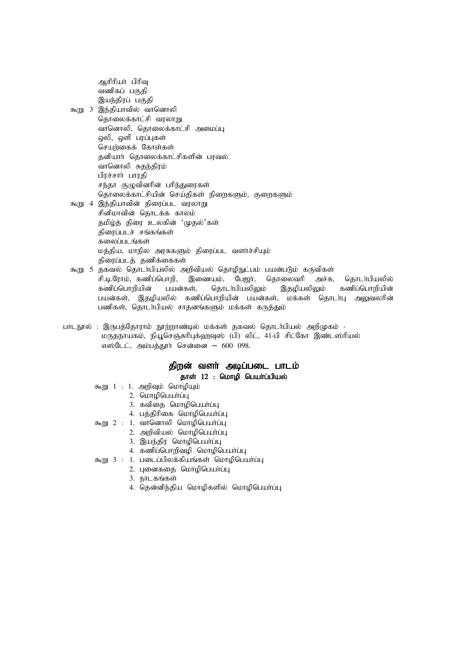அசிரியர் பிரிவு வணிகப் பகுதி இயந்திரப் பகுதி கூறு 3 இந்தியாவில் வானொலி தொலைக்காட்சி வரலாறு வானொலி, கொலைக்காட்சி அமைப்ப ஒலி, ஒளி பரப்புகள் செயர்கைக் கோள்கள் தனியார் தொலைக்காட்சிகளின் பரவல் வானொலி சுதந்திரம் பிரச்சார் பாரதி சந்தா குழுவினரின் பரிந்துரைகள் கொலைக்காட்சியின் செய்கிகள் நிளைகளும், குளைகளும் கூறு 4 இந்தியாவின் திரைப்பட வரலாறு சினிமாவின் தொடக்க காலம் தமிழ்த் திரை உலகின் 'முதல்'கள் திரைப்படச் சங்கங்கள் கலைப்படங்கள் மத்திய, மாநில அரசுகளும் திரைப்பட வளர்ச்சியும் திரைப்படத் தணிக்கைகள்

கூறு 5 தகவல் தொடர்பியலில் அறிவியல் தொழிநுட்பம் பயன்படும் கருவிகள் சி.டி.ரோம், கணிப்பொறி, இணையம், பேஜர், தொலைவரி அச்சு, தொடர்பியலில் கணிப்பொறியின் பயன்கள், தொடர்பியலிலும் இதமியலிலும் கணிப்பொறியின் பயன்கள், இதழியலில் கணிப்பொறியின் பயன்கள், மக்கள் தொடர்பு அலுவலரின் பணிகள், தொடர்பியல் சாதனங்களும் மக்கள் கருத்தும்

பாடநூல் : இருபத்தோராம் நூற்றாண்டில் மக்கள் தகவல் தொடா்பியல் அறிமுகம் -மருதநாயகம், நியூசெஞ்சுரிபுக்ஹவுஸ் (பி) லிட், 41-பி சிட்கோ இண்டஸ்ரியல் எஸ்டேட், அம்பத்தூர் சென்னை – 600 098.

## திறன் வளர் அடிப்படை பாடம் தாள்  $12$  : மொழி பெயா்ப்பியல்

- கூறு  $1 : 1$ . அறிவும் மொழியும்
	- $2.$  மொழிபெயர்ப்பு
	- 3. கவிதை மொழிபெயா்ப்பு
	- 4. பத்திரிகை மொழிபெயர்ப்பு
- கூறு  $2 : 1$ . வானொலி மொழிபெயா்ப்பு
	- 2. அறிவியல் மொழிபெயா்ப்பு
	- 3. இயந்திர மொழிபெயா்ப்பு
	- 4. கணிப்பொறிவழி மொழிபெயா்ப்பு
- $5m$  3 : 1. படைப்பிலக்கியங்கள் மொழிபெயர்ப்பு
	- 2. புனைகதை மொழிபெயா்ப்பு
		- 3. நாடகங்கள்
		- 4. தென்னிந்திய மொழிகளில் மொழிபெயா்ப்பு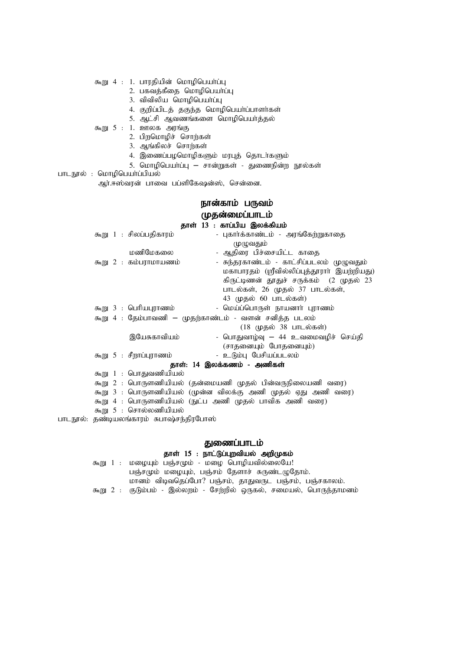- கூறு 4 : 1. பாரதியின் மொழிபெயா்ப்பு
	- 2. பகவத்கீதை மொழிபெயாப்பு
	- $3.$  விவிலிய மொமிபெயாப்ப
	- 4. குறிப்பிடத் தகுந்த மொழிபெயா்ப்பாளா்கள்
	- 5. ஆட்சி ஆவணங்களை மொழிபெயர்த்தல்
- $f_{\text{m}}(t) = 5 : 1.$  உளலக அரங்கு
	- 2. பிறமொழிச் சொற்கள்
	- 3. ஆங்கிலச் சொற்கள்
	- 4. இணைப்பழமொழிகளும் மரபுத் தொடர்களும்
	- 5. மொழிபெயா்ப்பு சான்றுகள் துணைநின்ற நூல்கள்
- பாடநூல் : மொழிபெயா்ப்பியல்

ஆர்.ஈஸ்வரன் பாவை பப்ளிகேஷன்ஸ், சென்னை.

#### நான்காம் பருவம் முதன்மைப்பாடம் சாப்பிய இலக்கியம்

| $\mathcal{D}$ lioli 12 : Финнин Жиоффинн $\mathcal{D}$               |
|----------------------------------------------------------------------|
| கூறு 1 : சிலப்பதிகாரம்<br>- புகார்க்காண்டம் - அரங்கேற்றுகாதை         |
| முழுவதும்                                                            |
| மணிமேகலை<br>- ஆதிரை பிச்சையிட்ட காதை                                 |
| - சுந்தரகாண்டம் - காட்சிப்படலம் முழுவதும்<br>கூறு $2$ : கம்பராமாயணம் |
| மகாபாரதம் (ஸ்ரீவில்லிப்புத்தூராா் இயற்றியது)                         |
| கிருட்டிணன் தூதுச் சருக்கம் (2 முதல் 23                              |
| பாடல்கள், 26 முதல் 37 பாடல்கள்,                                      |
| 43 முதல் 60 பாடல்கள்)                                                |
| - மெய்ப்பொருள் நாயனார் புராணம்<br>கூறு 3 : பெரியபுராணம்              |
| கூறு 4 : தேம்பாவணி — முதற்காண்டம் - வளன் சனித்த படலம்                |
| (18 முதல் 38 பாடல்கள்)                                               |
| - பொதுவாழ்வு — 44 உவமைவழிச் செய்தி<br>இயேசுகாவியம்                   |
| (சாதனையும் போதனையும்)                                                |
| - உடும்பு பேசியப்படலம்<br>கூறு 5 : சீறாப்புராணம்                     |
| தாள்: 14 இலக்கணம் - அணிகள்                                           |
| கூறு 1 : பொதுவணியியல்                                                |
| கூறு 2 : பொருளணியியல் (தன்மையணி முதல் பின்வருநிலையணி வரை)            |
| கூறு 3 : பொருளணியியல் (முன்ன விலக்கு அணி முதல் ஏது அணி வரை)          |
| கூறு 4 : பொருளணியியல் (நுட்ப அணி முதல் பாவிக அணி வரை)                |
| கூறு 5 : சொல்லணியியல்                                                |

பாடநூல்: தண்டியலங்காரம் சுபாஷ்சந்திரபோஸ்

#### துணைப்பாடம்

## தாள் 15 : நாட்டுப்புறவியல் அறிமுகம்

கூறு 1 : மழையும் பஞ்சமும் - மழை பொழியவில்லையே!  $L(\vec{G})$ சட்டிம் மழையும், பஞ்சம் தேளாச் சுருண்டழுதோம். மானம் விடிவதெப்போ? பஞ்சம், தாதுவருட பஞ்சம், பஞ்சகாலம். கூறு 2 : குடும்பம் - இல்லறம் - சேற்றில் ஒருகல், சமையல், பொருந்தாமனம்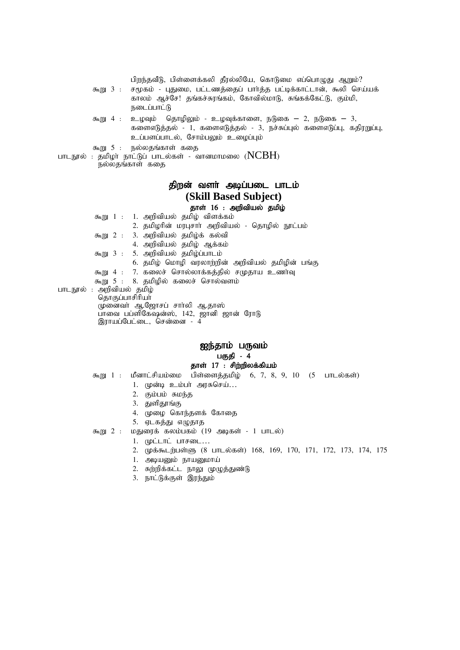|                          |          | பிறந்தவீடு, பிள்ளைக்கலி தீரல்லியே, கொடுமை எப்பொழுது ஆறும்?<br>கூறு 3 : சமூகம் - புதுமை, பட்டணத்தைப் பார்த்த பட்டிக்காட்டான், கூலி செய்யக்<br>காலம் ஆச்சே! தங்கச்சுரங்கம், கோவில்மாடு, சுங்கக்கேட்டு, கும்மி,<br>நடைப்பாட்டு |
|--------------------------|----------|-----------------------------------------------------------------------------------------------------------------------------------------------------------------------------------------------------------------------------|
|                          | கூறு 4 : | உழவும் தொழிலும் - உழவுக்காளை, நடுகை – 2, நடுகை – 3,<br>களைஎடுத்தல் - 1, களைஎடுத்தல் - 3, நச்சுப்புல் களைஎடுப்பு, கதிரறுப்பு,<br>உப்பளப்பாடல், சோம்பலும் உழைப்பும்                                                           |
|                          |          | கூறு 5 : நல்லதங்காள் கதை<br>பாடநூல் : தமிழா் நாட்டுப் பாடல்கள் - வானமாமலை ( $\rm{NCBH}$ )<br>நல்லதங்காள் கதை                                                                                                                |
|                          |          | திறன் வளர் அடிப்படை பாடம்                                                                                                                                                                                                   |
|                          |          | (Skill Based Subject)                                                                                                                                                                                                       |
|                          |          | தாள் 16 : அறிவியல் தமிழ்                                                                                                                                                                                                    |
|                          |          | கூறு 1 : 1. அறிவியல் தமிழ் விளக்கம்                                                                                                                                                                                         |
|                          |          | 2. தமிழரின் மரபுசார் அறிவியல் - தொழில் நூட்பம்                                                                                                                                                                              |
|                          |          | கூறு 2 : 3. அறிவியல் தமிழ்க் கல்வி                                                                                                                                                                                          |
|                          |          | 4. அறிவியல் தமிழ் ஆக்கம்                                                                                                                                                                                                    |
|                          |          | கூறு 3 : 5. அறிவியல் தமிழ்ப்பாடம்                                                                                                                                                                                           |
|                          |          | 6. தமிழ் மொழி வரலாற்றின் அறிவியல் தமிழின் பங்கு                                                                                                                                                                             |
|                          |          | கூறு 4 : 7. கலைச் சொல்லாக்கத்தில் சமுதாய உணர்வு                                                                                                                                                                             |
|                          |          | கூறு 5 : 8. தமிழில் கலைச் சொல்வளம்                                                                                                                                                                                          |
| பாடநூல் : அறிவியல் தமிழ் |          | தொகுப்பாசிரியா்                                                                                                                                                                                                             |
|                          |          | முனைவா் ஆ.ஜோசப் சாா்லி ஆ.தாஸ்                                                                                                                                                                                               |
|                          |          | பாவை பப்ளிகேஷன்ஸ், 142, ஜானி ஜான் ரோடு                                                                                                                                                                                      |
|                          |          | இராயப்பேட்டை, சென்னை - 4                                                                                                                                                                                                    |
|                          |          |                                                                                                                                                                                                                             |
|                          |          |                                                                                                                                                                                                                             |

## ஐந்தாம் பருவம் பகுதி - 4 தாள்  $17$  : சிற்றிலக்கியம்

- $\pi$ நூ 1 : மீனாட்சியம்மை பிள்ளைத்தமிழ் 6, 7, 8, 9, 10 (5 பாடல்கள்)
	- 1. முன்டி உம்பா் அரசுசெய்...
	- $2.$  கும்பம் சுமந்த
	- 3. துளிதூங்கு
	- 4. முழை கொந்தளக் கோதை
	- 5. ஏடகத்து எழுதாத

கூறு 2 : மதுரைக் கலம்பகம் (19 அடிகள் - 1 பாடல்)

- $1.$  (piliti un $\epsilon$ sol...
	- 2. முக்கூடற்பள்ளு (8 பாடல்கள்) 168, 169, 170, 171, 172, 173, 174, 175
	- $1.$  அடியனும் நாயனுமாய்
	- 2. சுற்றிக்கட்ட நாலு முழுத்துண்டு
	- 3. நாட்டுக்குள் இரந்தும்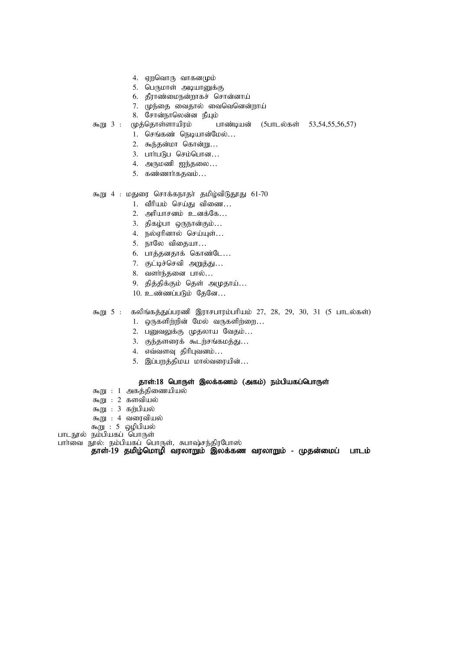- 4. ஏறவொரு வாகனமும்
- 5. பெருமாள் அடியானுக்கு
- 6. தீராண்மைநன்றாகச் சொன்னாய்
- 7. முந்தை வைதால் வைவெனென்றாய்
- 8. சோன்நாலென்ன நீயும்
- கூறு 3 : முத்தொள்ளாயிரம் பாண்டியன் (5பாடல்கள் 53,54,55,56,57)
	- $1.$  செங்கண் நெடியான்மேல்...
	- 2. கூந்தன்மா கொன்று...
	- $3.$   $L$ mir $L$  $B$  $L$   $Q$  $F$  $D$  $Q$  $L$ m $m$  $...$
	- 4. அருமணி ஐந்தலை...
	- $5.$  கண்ணார்கதவம்...

## கூறு 4 : மதுரை சொக்கநாதா் தமிழ்விடுதூது 61-70

- 1. வீரியம் செய்கு விணை...
- $2.$  அரியாசனம் உனக்கே...
- 3. திகழ்பா ஒருநான்கும்...
- 4. நல்ஏரினால் செய்யுள்...
- 5. நாலே விதையா...
- 6. பாத்தனதாக் கொண்டே...
- 7. குட்டிச்செவி அறுத்து...
- 8. வளர்ந்தனை பால்...
- 9. தித்திக்கும் தெள் அமுதாய்...
- $10.$  உண்ணப்படும் தேனே...

#### கூறு 5 : கலிங்கத்துப்பரணி இராசபாரம்பரியம் 27, 28, 29, 30, 31 (5 பாடல்கள்)

- 1. ஒருகளிற்றின் மேல் வருகளிற்றை...
- 2. பனுவலுக்கு முதலாய வேதம்...
- 3. குந்தளரைக் கூடற்சங்கமத்து...
- $4.$  எவ்வளவு திரிபுவனம்...
- 5. இப்பறத்திமய மால்வரையின்...

#### தாள்:18 பொருள் இலக்கணம் (அகம்) நம்பியகப்பொருள்

- கூறு :  $1$  அகத்திணையியல்
- கூறு : 2 களவியல்
- கூறு $: 3$  கற்பியல்
- கூறு : 4 வரைவியல்
- கூறு : 5 ஒழிபியல்
- பாடநூல் நம்பியகப் பொருள்

#### பார்வை நூல்: நம்பியகப் பொருள், சுபாஷ்சந்திரபோஸ்

 $\,$ தாள்- $19\,$  தமிழ்மொழி வரலாறும் இலக்கண வரலாறும் - முதன்மைப் பாடம்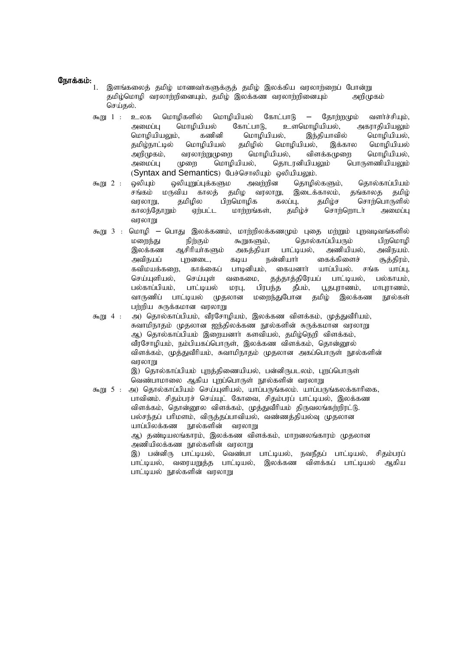#### நோக்கம்:

- இளங்கலைத் தமிழ் மாணவர்களுக்குத் தமிழ் இலக்கிய வரலாற்றைப் போன்று தமிழ்மொழி வரலாற்றினையும், தமிழ் இலக்கண வரலாற்றினையும் அறிமுகம் செய்கல்.
	- $\pi_{\text{m}}$  1 : உலக மொழிகளில் மொழியியல் கோட்பாடு தோர்றமும் வளர்ச்சியும், அமைப்ப மொமியியல் கோட்பாடு, உளமொமியியல், அகாரகியியலம் மொழியியலும், கணினி மொழியியல், இந்தியாவில் மொழியியல், தமிழ்நாட்டில் மொழியியல் தமிழில் மொழியியல், இக்கால மொழியியல் அறிமுகம், வரலாற்றுமுறை மொழியியல், விளக்கமுறை மொழியியல், அமைப்பு முறை மொழியியல், தொடரனியியலும் பொருளணியியலும் (Syntax and Semantics) பேச்சொலியும் ஒலியியலும்.
	- கூறு 2 : ஒலியும் ஒலியுறுப்புக்களும அவற்றின தொழில்களும், தொல்காப்பியம்<br>சங்கம் மருவிய காலத் தமிழ வரலாறு, இடைக்காலம், தங்காலத தமிழ் சங்கம் மருவிய காலத் தமிழ வரலாறு, இடைக்காலம், தங்காலத தமிழ் வரலாறு, தமிழில பிறமொழிக கலப்பு, தமிழ்ச சொற்பொருளில் காலந்தோறும் ஏற்பட்ட மாற்றங்கள், தமிழ்ச் சொற்றொடா் அமைப்பு வாலாறு
	- கூறு  $3$  : மொழி பொது இலக்கணம், மாற்றிலக்கணமும் புதை மற்றும் புறவடிவங்களில் மனைந்து நிற்கும் கூறுகளும். கொல்காப்பியரும் பிறமொமி இலக்கண ஆசிரியா்களும் அகத்தியா பாட்டியல், அணியியல், அவிநயம். அவிநயப் புறனடை, கடிய நன்னியார் கைக்கிளைச் சூத்திரம், கவிமயக்களை, காக்கைப் பாடினியம், கையனாா் யாப்பியல், சங்க யாப்பு, செய்யுளியல், செய்யுள் வகைமை, தத்தாத்திரேயப் பாட்டியல், பல்காயம், பல்காப்பியம், பாட்டியல் மரபு, பிரபந்த தீபம், பூதபுராணம், மாபுராணம்,<br>வாருணிப் பாட்டியல் முதலான மறைந்துபோன கமிம் இலக்கண நால்கள் வாருணிப் பாட்டியல் முதலான மரைந்துபோன தமிம் இலக்கண நூல்கள் பற்றிய சுருக்கமான வரலாறு
	- கூறு 4 : அ) தொல்காப்பியம், வீரசோழியம், இலக்கண விளக்கம், முத்துவீரியம், சுவாமிநாதம் முதலான ஐந்திலக்கண நூல்களின் சுருக்கமான வரலாறு ஆ) தொல்காப்பியம் இறையனாா் களவியல், தமிழ்நெறி விளக்கம், வீரசோழியம், நம்பியகப்பொருள், இலக்கண விளக்கம், தொன்னூல் விளக்கம், முத்துவீரியம், சுவாமிநாதம் முதலான அகப்பொருள் நூல்களின் வரலாறு

இ) தொல்காப்பியம் புறத்திணையியல், பன்னிருபடலம், புறப்பொருள் வெண்பாமாலை ஆகிய புறப்பொருள் நூல்களின் வரலாறு

 $\pi$ று 5 : அ) தொல்காப்பியம் செய்யுளியல், யாப்பருங்கலம். யாப்பருங்கலக்காரிகை, பாவினம். சிதம்பரச் செய்யுட் கோவை, சிதம்பரப் பாட்டியல், இலக்கண விளக்கம், தொன்றூல விளக்கம், முத்துவீரியம் திருவலங்கர்றிரட்டு. பல்சந்தப் பரிமளம், விருத்தப்பாவியல், வண்ணத்தியல்வு முதலான யாப்பிலக்கண நூல்களின் வரலாறு அ.) தண்டியலங்காரம், இலக்கண விளக்கம், மாறனலங்காரம் முதலான அணியிலக்கண நால்களின் வாலாறு இ) பன்னிரு பாட்டியல், வெண்பா பாட்டியல், நவநீதப் பாட்டியல், சிதம்பரப் பாட்டியல், வரையறுத்த பாட்டியல், இலக்கண விளக்கப் பாட்டியல் ஆகிய பாட்டியல் நூல்களின் வரலாறு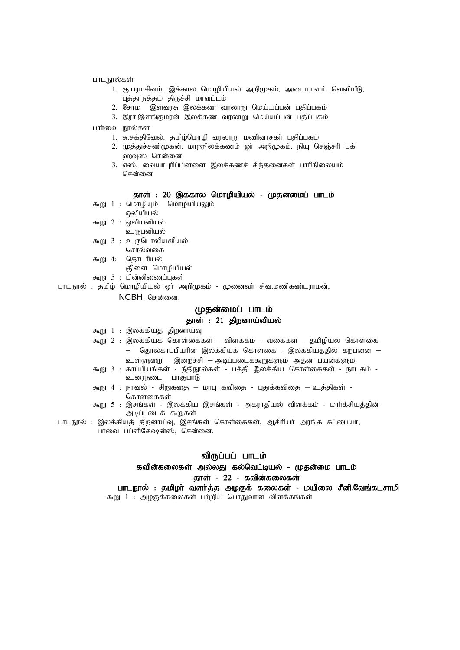- பாடநூல்கள்
	- 1. கு.பரமசிவம், இக்கால மொழியியல் அறிமுகம், அடையாளம் வெளியீடு, புத்தாநத்தம் திருச்சி மாவட்டம்
	- 2. சோம திளவரசு இலக்கண வரலாறு மெய்யப்பன் பதிப்பகம்
	- 3. இரா.இளங்குமரன் இலக்கண வரலாறு மெய்யப்பன் பதிப்பகம்
- பார்வை நால்கள்
	- 1. சு.சக்திவேல். தமிழ்மொழி வரலாறு மணிவாசகா் பதிப்பகம்
	- 2. முத்துச்சண்முகன். மாற்றிலக்கணம் ஓர் அறிமுகம். நியு செஞ்சரி புக் வரவுஸ் சென்னை
	- 3. எஸ். வையாபுரிப்பிள்ளை இலக்கணச் சிந்தனைகள் பாரிநிலையம் சென்னை

#### தாள் : 20 இக்கால மொழியியல் - முதன்மைப் பாடம்

- $\overline{x}$ று 1 : மொழியும் மொழியியலும்
- ஒலியியல்
- கூறு  $2$  : ஒலியனியல்
- உருபனியல்
- $f_{\text{m}}$  3 : உருபொலியனியல் சொல்வகை
	-
- கூறு 4: தொடரியல்
	- குிளை மொழியியல்
- கூறு  $5$  : பின்னிணைப்புகள்

பாடநூல் : தமிழ் மொழியியல் ஓா் அறிமுகம் - முனைவா் சிவ.மணிகண்டராமன்,

NCBH, சென்னை.

## (மதன்மைப் பாடம்

## தாள் : 21 திறனாய்வியல்

- $m$  1 : இலக்கியத் திறனாய்வு
- $500$  2 : இலக்கியக் கொள்கைகள் விளக்கம் வகைகள் தமிழியல் கொள்கை  $-$  தொல்காப்பியரின் இலக்கியக் கொள்கை - இலக்கியத்தில் கற்பனை – உள்ளுறை - இறைச்சி – அடிப்படைக்கூறுகளும் அதன் பயன்களும்
- கூறு 3 : காப்பியங்கள் நீதிநூல்கள் பக்தி இலக்கிய கொள்கைகள் நாடகம் -உரைநடை பாகுபாடு
- $\epsilon_{\rm m, BH}$  4 : நாவல் சிறுகதை மரபு கவிதை புதுக்கவிதை உத்திகள் -கொள்கைகள்
- கூறு 5 : இசங்கள் இலக்கிய இசங்கள் அகராதியல் விளக்கம் மார்க்சியத்தின் அடிப்படைக் கூறுகள்
- பாடநூல் : இலக்கியத் திறனாய்வு, இசங்கள் கொள்கைகள், ஆசிரியா் அரங்க சுப்பையா, பாவை பப்ளிகேஷன்ஸ், சென்னை.

## விருப்பப் பாடம்

## கவின்கலைகள் அல்லது கல்வெட்டியல் - முதன்மை பாடம் தாள் -  $22$  - கவின்கலைகள்

பாடநூல் : தமிழா வளா்த்த அழகுக் கலைகள் - மயிலை சீனி.வேங்கடசாமி  $m$ று 1 : அழகுக்கலைகள் பற்றிய பொதுவான விளக்கங்கள்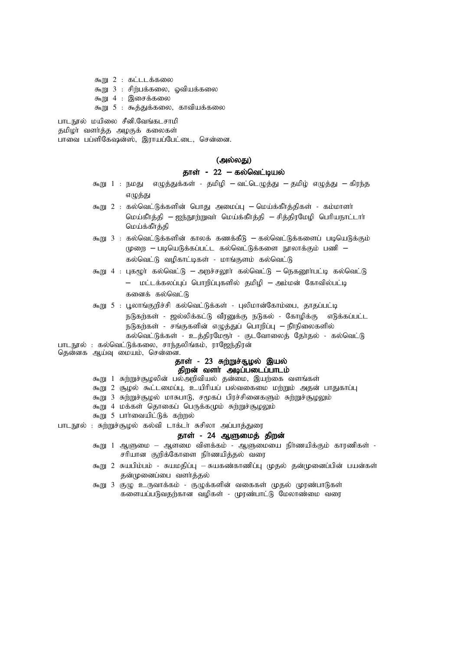$\mathfrak{F}_2$   $\mathfrak{m}$  2 :  $\mathfrak{B}$   $\mathfrak{L}$   $\mathfrak{L}$   $\mathfrak{L}$   $\mathfrak{B}$   $\mathfrak{B}$   $\mathfrak{B}$   $\mathfrak{B}$   $\mathfrak{D}$   $\mathfrak{D}$  $m_{\rm BH}$  3 : சிற்பக்கலை, ஓவியக்கலை கூறு  $4$  : இசைக்கலை கூறு  $5$  : கூத்துக்கலை, காவியக்கலை

பாடநூல் மயிலை சீனி.வேங்கடசாமி தமிழா வளா்த்த அழகுக் கலைகள் பாவை பப்ளிகேஷன்ஸ், இராயப்பேட்டை, சென்னை.

#### (அல்லது)

#### தாள் - 22 **–** கல்வெட்டியல்

- கூறு 1 : நமது எழுத்துக்கள் தமிழி வட்டெழுத்து தமிழ் எழுத்து கிரந்த எழுத்து
- கூறு 2 : கல்வெட்டுக்களின் பொது அமைப்பு மெய்க்கீர்த்திகள் கம்மாளர் மெய்கீர்த்தி – ஐந்நூற்றுவர் மெய்க்கீர்த்தி – சித்திரமேழி பெரியநாட்டார் மெய்க்கீர்த்தி
- $\epsilon_{\rm min}$  3 : கல்வெட்டுக்களின் காலக் கணக்கீடு கல்வெட்டுக்களைப் படியெடுக்கும் முறை – படியெடுக்கப்பட்ட கல்வெட்டுக்களை நூலாக்கும் பணி – கல்வெட்டு வழிகாட்டிகள் - மாங்குளம் கல்வெட்டு
- $\bar{x}$ று) 4 : புகமூர் கல்வெட்டு அறச்சலூர் கல்வெட்டு நெகரைர்பட்டி கல்வெட்டு  $-$  மட்டக்கலப்புப் பொறிப்புகளில் தமிழி – அம்மன் கோவில்பட்டி களைக் கல்வெட்டு
- கூறு 5 : பூலாங்குறிச்சி கல்வெட்டுக்கள் புலிமான்கோம்பை, தாதப்பட்டி நடுகற்கள் - ஜல்லிக்கட்டு வீரனுக்கு நடுகல் - கோழிக்கு எடுக்கப்பட்ட நடுகற்கள் - சங்குகளின் எழுத்துப் பொறிப்பு — நீா்நிலைகளில் கல்வெட்டுக்கள் - உத்திரமேரூர் - குடவோலைத் தேர்தல் - கல்வெட்டு
- பாடநூல் : கல்வெட்டுக்கலை, சாந்தலிங்கம், ராஜேந்திரன்
- தென்னக ஆய்வு மையம், சென்னை.

#### தாள் - 23 சுற்றுச்சூழல் இயல் ்திறன் வளர் அடிப்படைப்பாடம்

- கூறு 1 சுற்றுச்சூழலின் பல்அறிவியல் தன்மை, இயற்கை வளங்கள்
- கூறு 2 சூழல் கூட்டமைப்பு, உயிரியப் பல்வகைமை மற்றும் அதன் பாதுகாப்பு
- கூறு 3 சுற்றுச்சூழல் மாசுபாடு, சமூகப் பிரச்சினைகளும் சுற்றுச்சூழலும்
- கூறு 4 மக்கள் தொகைப் பெருக்கமும் சுற்றுச்சூழலும்
- கூறு 5 பார்வையிட்டுக் கற்றல்
- பாடநூல் : சுற்றுச்சூழல் கல்வி டாக்டா் சுசிலா அப்பாத்துரை

#### தாள் - 24 ஆளுமைத் திறன்

- கூறு 1 ஆளுமை ஆளமை விளக்கம் ஆளுமையை நிர்ணயிக்கும் காரணிகள் -சரியான குறிக்கோளை நிர்ணயித்தல் வரை
- கூறு 2 சுயபிம்பம் சுயமதிப்பு சுயகண்காணிப்பு முதல் தன்முனைப்பின் பயன்கள் தன்முனைப்பை வளர்த்தல்
- கூறு 3 குழு உருவாக்கம் குழுக்களின் வகைகள் முதல் முரண்பாடுகள் களையப்படுவதற்கான வழிகள் - முரண்பாட்டு மேலாண்மை வரை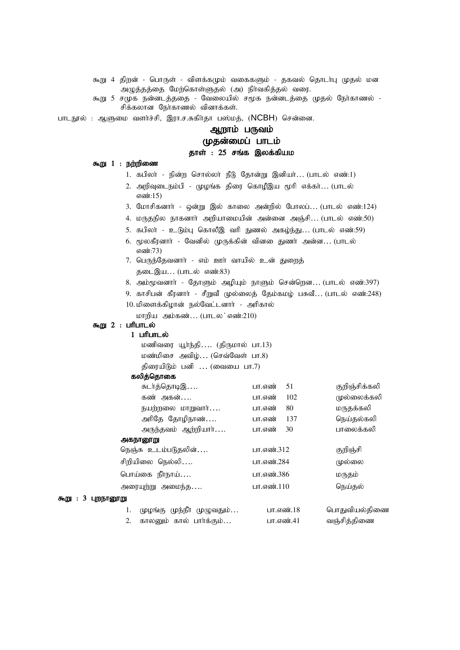கூறு 4 திறன் - பொருள் - விளக்கமும் வகைகளும் - தகவல் தொடா்பு முதல் மன அழுத்தத்தை மேற்கொள்ளுதல் (அ) நிர்வகித்தல் வரை.

கூறு 5 சமுக நன்னடத்ததை - வேலையில் சமூக நன்னடத்தை முதல் நோகாணல் -சிக்கலான நோகாணல் வினாக்கள்.

பாடநூல் : ஆளுமை வளர்ச்சி, இரா.ச.சுகிர்தா பஸ்மத், (NCBH) சென்னை.

## ஆறாம் பருவம்

## (மதன்மைப் பாடம்

#### தாள் : 25 சங்க இலக்கியம

#### கூறு  $1$  : நற்றிணை

- 1. கபிலா் நின்ற சொல்லா் நீடு தோன்று இனியா்... (பாடல் எண்:1)
- 2. அறிவுடைநம்பி முழங்க திரை கொழீஇய மூரி எக்கர்... (பாடல் எண்:15)
- 3. மோசிகனார் ஒன்று இல் காலை அன்றில் போலப்... (பாடல் எண்:124)
- 4. மருதநில நாகனாா் அறியாமையின் அன்னை அஞ்சி... (பாடல் எண்:50)
- 5. கபிலா் உடும்பு கொலீஇ வரி நுணல் அகழ்ந்து... (பாடல் எண்:59)
- 6. மூலகீரனாா் வேனில் முருக்கின் வினகை துணா் அன்ன... (பாடல் எண்:73)
- 7. பெருந்தேவனார் எம் ஊர் வாயில் உன் துறைத் தடைஇய... (பாடல் எண்:83)
- 8. அம்மூவனார் தோளும் அழியும் நாளும் சென்றென... (பாடல் எண்:397)
- 9. காசிபன் கீரனார் சீறுவீ முல்லைத் தேம்கமழ் பசுவீ... (பாடல் எண்:248)
- 10. மிளைக்கிழான் நல்வேட்டனார் அரிகால்
	- மாறிய அம்கண் $\ldots$  (பாடல ்எண்:210)

## $56012$ :  $Lifall$

## $1$   $L$ m $L$ m $L$ ல்

மணிவரை யூர்ந்தி.... (திருமால் பா.13) மண்மிசை அவிழ் $\dots$  (செவ்வேள் பா.8) திரையிடும் பனி  $\ldots$  (வையை பா.7)

#### கலித்தொகை

|                         | சுடா்த்தொடிஇ              | பா.எண்<br>51  | குறிஞ்சிக்கலி |
|-------------------------|---------------------------|---------------|---------------|
|                         | கண் அகன்                  | 102<br>பா.எண் | முல்லைக்கலி   |
|                         | நயற்றலை மாறுவாா்          | 80<br>பா.எண்  | மருதக்கலி     |
|                         | அரிதே தோழிநாண்            | 137<br>பா.எண் | நெய்தல்கலி    |
|                         | அருந்தவம் ஆற்றியாா்       | 30<br>பா.எண்  | பாலைக்கலி     |
|                         | அகநானூறு                  |               |               |
|                         | நெஞ்சு உடம்படுதலின்       | பா.எண்.312    | குறிஞ்சி      |
|                         | சிறியிலை நெல்லி           | பா.எண்.284    | முல்லை        |
|                         | பொய்கை நீாநாய்            | பா.எண்.386    | மருதம்        |
|                         | அரையுற்று அமைந்த          | பா.எண்.110    | நெய்தல்       |
| 3<br>புறநானூறு<br>கூறு: |                           |               |               |
|                         | முழங்கு முந்நீா முழுவதும் | பா.எண்.18     | பொதுவியல்திணை |
|                         |                           |               |               |

2. fhyDk; fhy; ghh;f;Fk;… gh.vz;.41 tQ;rpj;jpiz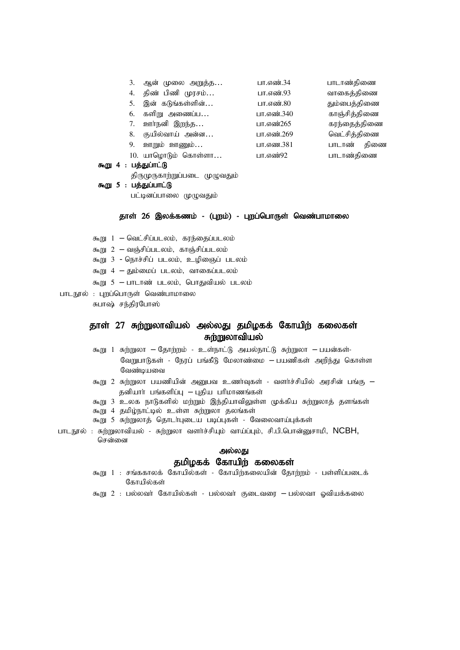| 3.            | ஆன் முலை அறுத்த     | பா.எண்.34  | பாடாண்திணை   |
|---------------|---------------------|------------|--------------|
| 4.            | திண் பிணி முரசம்    | பா.எண்.93  | வாகைத்திணை   |
| 5.            | இன் கடுங்கள்ளின்    | பா.எண்.80  | தும்பைத்திணை |
| 6.            | களிறு அணைப்ப        | பா.எண்.340 | காஞ்சித்திணை |
| 7.            | ஊர்நனி இறந்த        | பா.எண்265  | கரந்தைத்திணை |
| 8.            | குயில்வாய் அன்ன     | பா.எண்.269 | வெட்சித்திணை |
| 9.            | ஊறும் ஊணும்         | பா.எண.381  | பாடாண் திணை  |
|               | 10. யாழொடும் கொள்ளா | பா.எண்92   | பாடாண்திணை   |
| : பக்கப்ாட்டு |                     |            |              |

கூறு 4

திருமுருகாற்றுப்படை முழுவதும்

```
\delta 5 : பத்துப்பாட்டு
```
பட்டினப்பாலை முழுவதும்

#### தாள் 26 இலக்கணம் - (புறம்) - புறப்பொருள் வெண்பாமாலை

- $f_{\text{m}}$  1 வெட்சிப்படலம், கரந்தைப்படலம்
- $\delta$ து 2 வஞ்சிப்படலம், காஞ்சிப்படலம்
- கூறு 3 நொச்சிப் படலம், உழிஞைப் படலம்
- $f_{\text{m}}$   $\left| 4 f_{\text{m}} \right|$  ; all  $\left| \cdots \right|$  ; all  $\left| \cdots \right|$  all  $\left| \cdots \right|$
- $5 1$ ாடாண் படலம், பொதுவியல் படலம்
- பாடநூல் : புறப்பொருள் வெண்பாமாலை சுபாஷ் சந்திரபோஸ்

# தாள் 27 சுற்றுலாவியல் அல்லது தமிழகக் கோயிற் கலைகள்

## சுந்றுலாவியல்

- $56$ று 1 சுற்றுலா தோற்றம் உள்நாட்டு அயல்நாட்டு சுற்றுலா பயன்கள்-வேறுபாடுகள் - நேரப் பங்கீடு மேலாண்மை — பயணிகள் அறிந்து கொள்ள வேண்டியவை
- $\pi$ று 2 சுற்றுலா பயணியின் அனுபவ உணர்வுகள் வளர்ச்சியில் அரசின் பங்கு  $\sigma$ னியார் பங்களிப்பு – புதிய பரிமாணங்கள்
- கூறு 3 உலக நாடுகளில் மற்றும் இந்தியாவிலுள்ள முக்கிய சுற்றுலாத் தளங்கள்
- கூறு 4 தமிழ்நாட்டில் உள்ள சுற்றுலா தலங்கள்
- கூறு 5 சுற்றுலாத் தொடர்புடைய படிப்புகள் வேலைவாய்புக்கள்
- பாடநூல் : சுற்றுலாவியல் சுற்றுலா வளர்ச்சியும் வாய்ப்பும், சி.பி.பொன்னுசாமி, NCBH, சென்னை

## அல்லது தமிழகக் கோயிற் கலைகள்

- கூறு 1 : சங்ககாலக் கோயில்கள் கோயிற்கலையின் தோற்றம் பள்ளிப்படைக் கோயில்கள்
- கூறு 2 : பல்லவர் கோயில்கள் பல்லவர் குடைவரை பல்லவா ஓவியக்கலை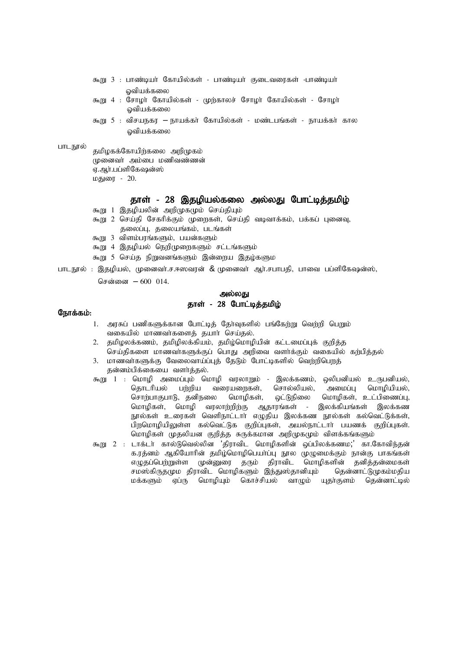- கூறு 3 : பாண்டியர் கோயில்கள் பாண்டியர் குடைவரைகள் -பாண்டியர் ஓவியக்கலை
- கூறு 4 : சோமர் கோபில்கள் முற்காலச் சோமர் கோபில்கள் சோமர் ஒவியக்கலை
- கூறு 5 : விசயநகர நாயக்கா் கோயில்கள் மண்டபங்கள் நாயக்கா் கால வியக்கலை

#### பாடநூல்

தமிழகக்கோயிற்கலை அறிமுகம்  $\mu$ கை முறைப்பு மணிவண்ணன் $\mu$ ஏ.ஆர்.பப்ளிகேஷன்ஸ் மதுரை - 20.

#### தாள் - 28 இதழியல்கலை அல்லது போட்டித்தமிழ்

- கூறு 1 இதழியலின் அறிமுகமும் செய்தியும்
- கூறு 2 செய்தி சேகரிக்கும் முறைகள், செய்தி வடிவாக்கம், பக்கப் புனைவு, கலைப்ப, கலையங்கம், படங்கள்
- கூறு 3 விளம்பரங்களும், பயன்களும்
- கூறு 4 இதழியல் நெறிமுறைகளும் சட்டங்களும்
- கூறு 5 செய்த நிறுவனங்களும் இன்றைய இதழ்களும
- பாடநூல் : இதழியல், முனைவர்.ச.ஈஸவரன் & முனைவர் ஆர்.சபாபதி, பாவை பப்ளிகேஷன்ஸ்,

சென்னை  $- 600$  014.

#### அல்லது தாள் - 28 போட்டித்தமிழ்

#### நோக்கம்:

- 1. அரசுப் பணிகளுக்கான போட்டித் தேர்வுகளில் பங்கேற்று வெற்றி பெறும் வகையில் மாணவர்களைத் தயார் செய்தல்.
- 2. தமிழலக்கணம், தமிழிலக்கியம், தமிழ்மொழியின் கட்டமைப்புக் குறித்த செய்திகளை மாணவா்களுக்குப் பொது அறிவை வளா்க்கும் வகையில் கற்பித்தல்
- 3. மாணவா்களுக்கு வேலைவாய்ப்புத் தேடும் போட்டிகளில் வெற்றிபெறத் தன்னம்பிக்கையை வளர்த்தல்.
- கூறு 1 : மொழி அமைப்பும் மொழி வரலாறும் இலக்கணம், ஒலிபனியல் உருபனியல், தொடரியல் பற்றிய வரையறைகள், சொல்லியல், அமைப்பு மொழியியல், சொற்பாகுபாடு, தனிநலை மொழிகள், ஒட்டுநிலை மொழிகள், உட்பிணைப்பு, மொழிகள், மொழி வரலாற்றிற்கு ஆதாரங்கள் - இலக்கியங்கள் இலக்கண .<br>நூல்கள் உரைகள் வெளிநாட்டார் எழுதிய இலக்கண நூல்கள் கல்வெட்டுக்கள், பிறமொழியிலுள்ள கல்வெட்டுக குறிப்புகள், அயல்நாட்டார் பயணக் குறிப்புகள். மொழிகள் முதலியன குறித்த சுருக்கமான அறிமுகமும் விளக்கங்களும்
- கூறு 2 : டாக்டர் கால்டுவெல்லின 'திராவிட மொழிகளின் ஒப்பிலக்கணம;' கா.கோவிந்தன் க.ரத்னம் ஆகியோரின் தமிழ்மொழிபெயா்ப்பு நூல முழுமைக்கும் நான்கு பாகங்கள் எழுதப்பெற்றுள்ள முன்னுரை தரும் திராவிட மொழிகளின் தனித்தன்மைகள் சமஸ்கிருதமும திராவிட மொழிகளும் இந்துஸ்தானியும் தென்னாட்டுமுகம்மதிய மக்களும் ஏப்ரு மொழியும் கொச்சியல் வாழும் யுதா்குளம் தென்னாட்டில்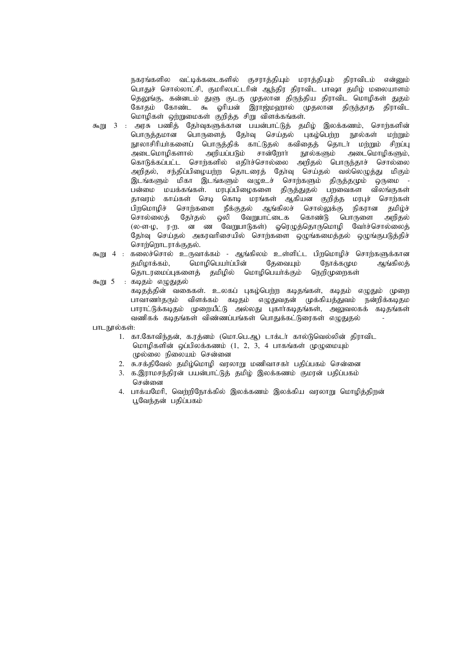நகரங்களில வட்டிக்கடைகளில் குசராத்தியும் மராத்தியும் திராவிடம் என்னும் பொதுச் சொல்லாட்சி, குமரிலபட்டரின் ஆந்திர திராவிட பாஷா தமிழ் மலையாளம் தெலுங்கு, கன்னடம் துளு குடகு முதலான திருந்திய திராவிட மொழிகள் துதம் ு.<br>கோதம் கோண்ட கூ ஓரியன் இராஜ்மஹால் முதலான திருந்தாத திராவிட மொழிகள் ஒற்றுமைகள் குறித்த சிறு விளக்கங்கள்.

- கூறு 3 : அரசு பணித் தேர்வுகளுக்கான பயன்பாட்டுத் தமிழ் இலக்கணம், சொற்களின் பொருத்தமான பொருளைத் தேர்வு செய்தல் புகழ்பெற்ற நூல்கள் மற்றும் நூலாசிரியர்களைப் பொருத்திக் காட்டுதல் கவிதைத் தொடர் மற்றும் சிறப்பு அடைமொழிகளால் அறியப்படும் சான்றோர் நூல்களும் அடைமொழிகளும், கொடுக்கப்பட்ட சொர்களில் எதிர்ச்சொல்லை அறிதல் பொருந்தாச் சொல்லை அறிதல், சந்திப்பிழையற்ற தொடரைத் தேர்வு செய்தல் வல்லெழுத்து மிகும் இடங்களும் மிகா இடங்களும் வழுஉச் சொற்களும் திருத்தமும் ஒருமை -பன்மை மயக்கங்கள். மரபுப்பிழைகளை திருத்துதல் பறவைகள விலங்குகள் தாவரம் காய்கள் செடி கொடி மரங்கள் ஆகியன குறித்த மரபுச் சொற்கள் பிறமொழிச் சொற்களை நீக்குதல் ஆங்கிலச் சொல்லுக்கு நிகரான தமிழ்ச் சொல்லைத் தேர்தல் ஒலி வேறுபாட்டைக கொண்டு பொருளை அறிதல் (ல-ள-ழ, ர-ற. ன ண வேறுபாடுகள்) ஓரெழுத்தொருமொழி வேர்ச்சொல்லைத் தோவு செய்தல் அகரவரிசையில் சொற்களை ஒழுங்கமைத்தல் ஒழுங்குபடுத்திச் சொர்ளொடாரக்குகல்.
- கூறு 4 : கலைச்சொல் உருவாக்கம் ஆங்கிலம் உள்ளிட்ட பிறமொழிச் சொற்களுக்கான தமிழாக்கம், மொழிபெயா்ப்பின் தேவையும் நோக்கமும அங்கிலத் .<br>தொடரமைப்புகளைத் தமிழில் மொழிபெயர்க்கும் நெறிமுறைகள்

 $5 : BQ5$ ம் எமுதுதல்

கடிதத்தின் வகைகள். உலகப் புகழ்பெற்ற கடிதங்கள், கடிதம் எழுதும் முறை பாவாணர்தரும் விளக்கம் கடிதம் எழுதுவதன் முக்கியத்துவம் நன்றிக்கடிதம பாராட்டுக்கடிதம் முறையீட்டு அல்லது புகார்கடிதங்கள், அலுவலகக் கடிதங்கள் வணிகக் கடிதங்கள் விண்ணப்பங்கள் பொதுக்கட்டுரைகள் எழுதுதல்

பாடநூல்கள்:

- 1. கா.கோவிந்தன், க.ரத்னம் (மொ.பெ.ஆ) டாக்டர் கால்டுவெல்லின் திராவிட மொழிகளின் ஒப்பிலக்கணம்  $(1, 2, 3, 4$  பாகங்கள் முழுமையும் முல்லை நிலையம் சென்னை
- 2. சு.சக்திவேல் தமிழ்மொழி வரலாறு மணிவாசகா் பதிப்பகம் சென்னை
- 3. க.இராமசந்திரன் பயன்பாட்டுத் தமிழ் இலக்கணம் குமரன் பதிப்பகம் சென்னை
- 4. பாக்யமேரி, வெற்றிநோக்கில் இலக்கணம் இலக்கிய வரலாறு மொழித்திறன் பூவேந்தன் பதிப்பகம்